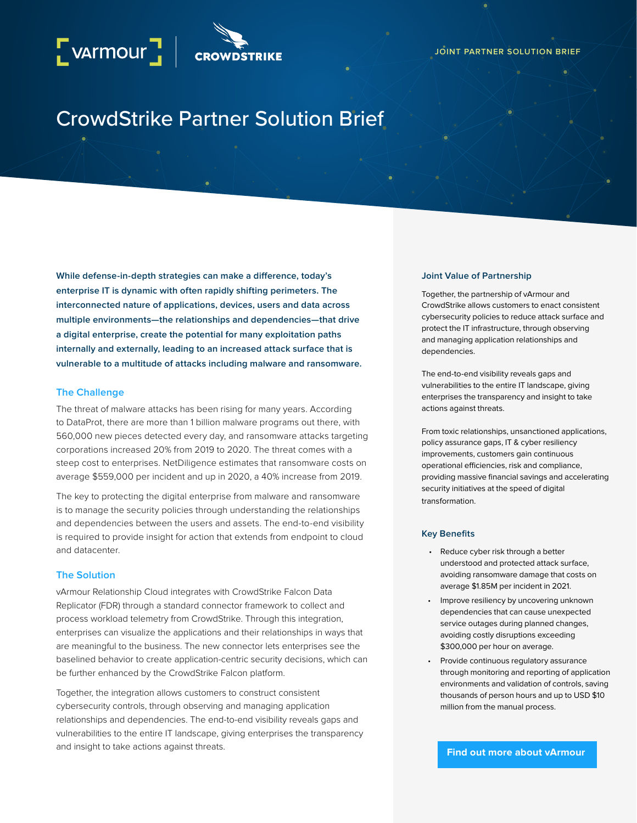# CrowdStrike Partner Solution Brief

**While defense-in-depth strategies can make a difference, today's enterprise IT is dynamic with often rapidly shifting perimeters. The interconnected nature of applications, devices, users and data across multiple environments—the relationships and dependencies—that drive a digital enterprise, create the potential for many exploitation paths internally and externally, leading to an increased attack surface that is vulnerable to a multitude of attacks including malware and ransomware.**

# **The Challenge**

The threat of malware attacks has been rising for many years. According to [DataProt,](https://dataprot.net/statistics/malware-statistics/) there are more than 1 billion malware programs out there, with 560,000 new pieces detected every day, and ransomware attacks targeting corporations increased 20% from 2019 to 2020. The threat comes with a steep cost to enterprises. [NetDiligence](https://www.cisa.gov/sites/default/files/publications/CISA-OCE_Cost_of_Cyber_Incidents_Study-FINAL_508.pdf) estimates that ransomware costs on average \$559,000 per incident and up in 2020, a 40% increase from 2019.

The key to protecting the digital enterprise from malware and ransomware is to manage the security policies through understanding the relationships and dependencies between the users and assets. The end-to-end visibility is required to provide insight for action that extends from endpoint to cloud and datacenter.

# **The Solution**

vArmour Relationship Cloud integrates with CrowdStrike Falcon Data Replicator (FDR) through a standard connector framework to collect and process workload telemetry from CrowdStrike. Through this integration, enterprises can visualize the applications and their relationships in ways that are meaningful to the business. The new connector lets enterprises see the baselined behavior to create application-centric security decisions, which can be further enhanced by the CrowdStrike Falcon platform.

Together, the integration allows customers to construct consistent cybersecurity controls, through observing and managing application relationships and dependencies. The end-to-end visibility reveals gaps and vulnerabilities to the entire IT landscape, giving enterprises the transparency and insight to take actions against threats.

#### **Joint Value of Partnership**

Together, the partnership of vArmour and CrowdStrike allows customers to enact consistent cybersecurity policies to reduce attack surface and protect the IT infrastructure, through observing and managing application relationships and dependencies.

The end-to-end visibility reveals gaps and vulnerabilities to the entire IT landscape, giving enterprises the transparency and insight to take actions against threats.

From toxic relationships, unsanctioned applications, policy assurance gaps, IT & cyber resiliency improvements, customers gain continuous operational efficiencies, risk and compliance, providing massive financial savings and accelerating security initiatives at the speed of digital transformation.

### **Key Benefits**

- Reduce cyber risk through a better understood and protected attack surface, avoiding ransomware damage that costs on [average \\$1.85M per incident in 2021.](https://securityintelligence.com/news/ransomware-costs-expected-265-billion-2031/)
- Improve resiliency by uncovering unknown dependencies that can cause unexpected service outages during planned changes, avoiding costly disruptions [exceeding](https://www.ibm.com/downloads/cas/A856LOWK)  [\\$300,000 per hour on average](https://www.ibm.com/downloads/cas/A856LOWK).
- Provide continuous regulatory assurance through monitoring and reporting of application environments and validation of controls, saving thousands of person hours and up to [USD \\$10](https://www.varmour.com/wp-content/uploads/2021/12/vArmour-Global-Retailer-Accelerates-Business-Unit-Separation-Case-Study-v122021.pdf)  [million from the manual process.](https://www.varmour.com/wp-content/uploads/2021/12/vArmour-Global-Retailer-Accelerates-Business-Unit-Separation-Case-Study-v122021.pdf)